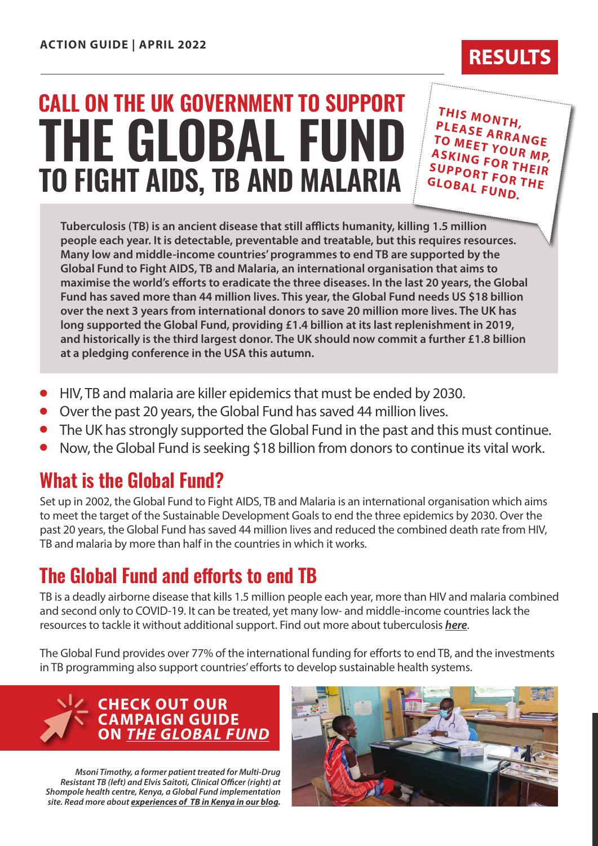# **TO FIGHT AIDS, TB AND MALARIA THE GLOBAL FUND CALL ON THE UK GOVERNMENT TO SUPPORT**

**THIS MONTH, PLEASE ARRANGE TO MEET YOUR MP, ASKING FOR THEIR SUPPORT FOR THE GLOBAL FUND.**

**RESULT** 

**Tuberculosis (TB) is an ancient disease that still afflicts humanity, killing 1.5 million people each year. It is detectable, preventable and treatable, but this requires resources. Many low and middle-income countries' programmes to end TB are supported by the Global Fund to Fight AIDS, TB and Malaria, an international organisation that aims to maximise the world's efforts to eradicate the three diseases. In the last 20 years, the Global Fund has saved more than 44 million lives. This year, the Global Fund needs US \$18 billion over the next 3 years from international donors to save 20 million more lives. The UK has long supported the Global Fund, providing £1.4 billion at its last replenishment in 2019, and historically is the third largest donor. The UK should now commit a further £1.8 billion at a pledging conference in the USA this autumn.**

- <sup>l</sup> HIV, TB and malaria are killer epidemics that must be ended by 2030.
- <sup>l</sup> Over the past 20 years, the Global Fund has saved 44 million lives.
- The UK has strongly supported the Global Fund in the past and this must continue.
- <sup>l</sup> Now, the Global Fund is seeking \$18 billion from donors to continue its vital work.

### **What is the Global Fund?**

Set up in 2002, the Global Fund to Fight AIDS, TB and Malaria is an international organisation which aims to meet the target of the Sustainable Development Goals to end the three epidemics by 2030. Over the past 20 years, the Global Fund has saved 44 million lives and reduced the combined death rate from HIV, TB and malaria by more than half in the countries in which it works.

## **The Global Fund and efforts to end TB**

TB is a deadly airborne disease that kills 1.5 million people each year, more than HIV and malaria combined and second only to COVID-19. It can be treated, yet many low- and middle-income countries lack the resources to tackle it without additional support. Find out more about tuberculosis *[here](https://www.results.org.uk/guides/introduction-tuberculosis)*.

The Global Fund provides over 77% of the international funding for efforts to end TB, and the investments in TB programming also support countries' efforts to develop sustainable health systems.



*Msoni Timothy, a former patient treated for Multi-Drug Resistant TB (left) and Elvis Saitoti, Clinical Officer (right) at Shompole health centre, Kenya, a Global Fund implementation site. Read more about [experiences of TB in Kenya in our blog.](https://www.results.org.uk/blog/world-tb-day-experiences-tb-kenya)*